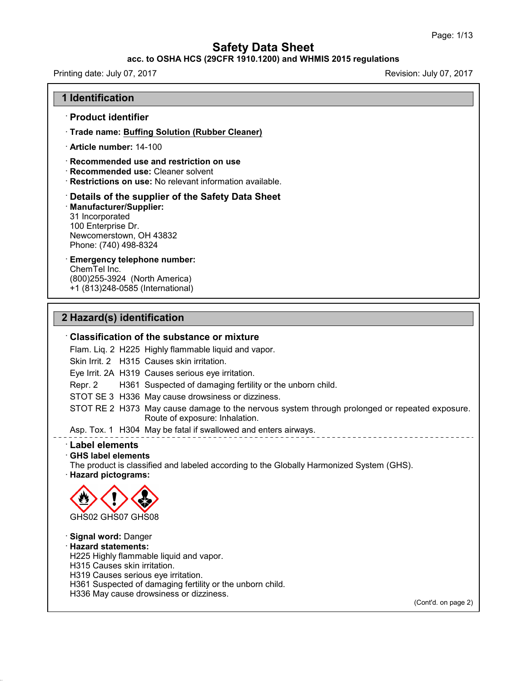### **acc. to OSHA HCS (29CFR 1910.1200) and WHMIS 2015 regulations**

Printing date: July 07,2017 Revision: July 07,2017

#### **1 Identification**

### · **Product identifier**

· **Trade name: Buffing Solution (Rubber Cleaner)**

· **Article number:** 14-100

· **Recommended use and restriction on use**

- · **Recommended use:** Cleaner solvent
- · **Restrictions on use:** No relevant information available.

#### · **Details of the supplier of the Safety Data Sheet**

· **Manufacturer/Supplier:** 31 Incorporated 100 Enterprise Dr. Newcomerstown, OH 43832 Phone: (740) 498-8324

# · **Emergency telephone number:**

ChemTel Inc. (800)255-3924 (North America) +1 (813)248-0585 (International)

### **2 Hazard(s) identification**

#### · **Classification of the substance or mixture**

Flam. Liq. 2 H225 Highly flammable liquid and vapor.

Skin Irrit. 2 H315 Causes skin irritation.

Eye Irrit. 2A H319 Causes serious eye irritation.

Repr. 2 H361 Suspected of damaging fertility or the unborn child.

STOT SE 3 H336 May cause drowsiness or dizziness.

STOT RE 2 H373 May cause damage to the nervous system through prolonged or repeated exposure. Route of exposure: Inhalation.

Asp. Tox. 1 H304 May be fatal if swallowed and enters airways.

#### · **Label elements**

#### · **GHS label elements**

The product is classified and labeled according to the Globally Harmonized System (GHS). · **Hazard pictograms:**



45.1.4.1

· **Signal word:** Danger · **Hazard statements:** H225 Highly flammable liquid and vapor. H315 Causes skin irritation. H319 Causes serious eye irritation. H361 Suspected of damaging fertility or the unborn child. H336 May cause drowsiness or dizziness.

(Cont'd. on page 2)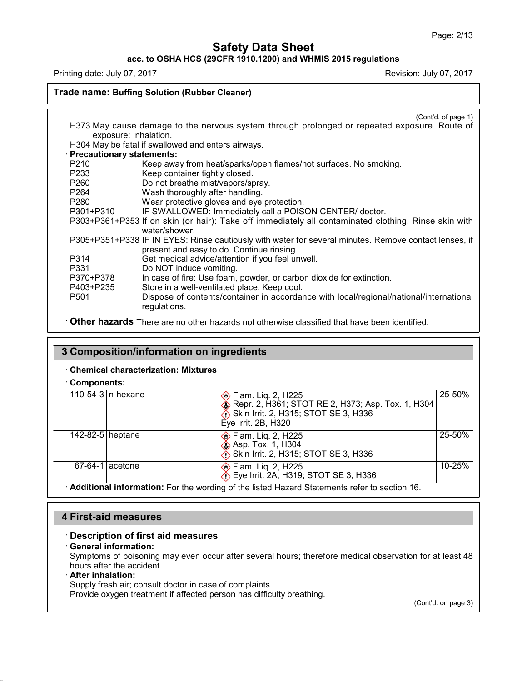# **acc. to OSHA HCS (29CFR 1910.1200) and WHMIS 2015 regulations**

Printing date: July 07, 2017 **Printing date: July 07, 2017** Revision: July 07, 2017

### **Trade name: Buffing Solution (Rubber Cleaner)**

|                             | (Cont'd. of page 1)                                                                                   |
|-----------------------------|-------------------------------------------------------------------------------------------------------|
|                             | H373 May cause damage to the nervous system through prolonged or repeated exposure. Route of          |
| exposure: Inhalation.       |                                                                                                       |
|                             | H304 May be fatal if swallowed and enters airways.                                                    |
| · Precautionary statements: |                                                                                                       |
| P210                        | Keep away from heat/sparks/open flames/hot surfaces. No smoking.                                      |
| P233                        | Keep container tightly closed.                                                                        |
| P260                        | Do not breathe mist/vapors/spray.                                                                     |
| P264                        | Wash thoroughly after handling.                                                                       |
| P280                        | Wear protective gloves and eye protection.                                                            |
| P301+P310                   | IF SWALLOWED: Immediately call a POISON CENTER/ doctor.                                               |
|                             | P303+P361+P353 If on skin (or hair): Take off immediately all contaminated clothing. Rinse skin with  |
|                             | water/shower.                                                                                         |
|                             | P305+P351+P338 IF IN EYES: Rinse cautiously with water for several minutes. Remove contact lenses, if |
|                             | present and easy to do. Continue rinsing.                                                             |
| P314                        | Get medical advice/attention if you feel unwell.                                                      |
| P331                        | Do NOT induce vomiting.                                                                               |
| P370+P378                   | In case of fire: Use foam, powder, or carbon dioxide for extinction.                                  |
| P403+P235                   | Store in a well-ventilated place. Keep cool.                                                          |
| P <sub>501</sub>            | Dispose of contents/container in accordance with local/regional/national/international                |
|                             | regulations.                                                                                          |
|                             | Other hazards There are no other hazards not otherwise classified that have been identified.          |
|                             |                                                                                                       |

# **3 Composition/information on ingredients**

### · **Chemical characterization: Mixtures**

| Components:        |                      |                                                                                                                                                       |            |
|--------------------|----------------------|-------------------------------------------------------------------------------------------------------------------------------------------------------|------------|
|                    | 110-54-3 $n$ -hexane | <b>♦ Flam. Lig. 2, H225</b><br>Repr. 2, H361; STOT RE 2, H373; Asp. Tox. 1, H304<br>Skin Irrit. 2, H315; STOT SE 3, H336<br>Eye Irrit. $2B$ , H $320$ | 25-50%     |
| 142-82-5   heptane |                      | <b>♦ Flam. Liq. 2, H225</b><br><b>Solution</b> Asp. Tox. 1, H304<br>Skin Irrit. 2, H315; STOT SE 3, H336                                              | 25-50%     |
| 67-64-1            | l acetone            | <b>♦ Flam. Liq. 2, H225</b><br>Eye Irrit. 2A, H319; STOT SE 3, H336                                                                                   | $10 - 25%$ |
|                    |                      | Additional information: For the wording of the listed Hazard Statements refer to section 16.                                                          |            |

### **4 First-aid measures**

### · **Description of first aid measures**

#### · **General information:**

Symptoms of poisoning may even occur after several hours; therefore medical observation for at least 48 hours after the accident.

#### · **After inhalation:**

45.1.4.1

Supply fresh air; consult doctor in case of complaints.

Provide oxygen treatment if affected person has difficulty breathing.

(Cont'd. on page 3)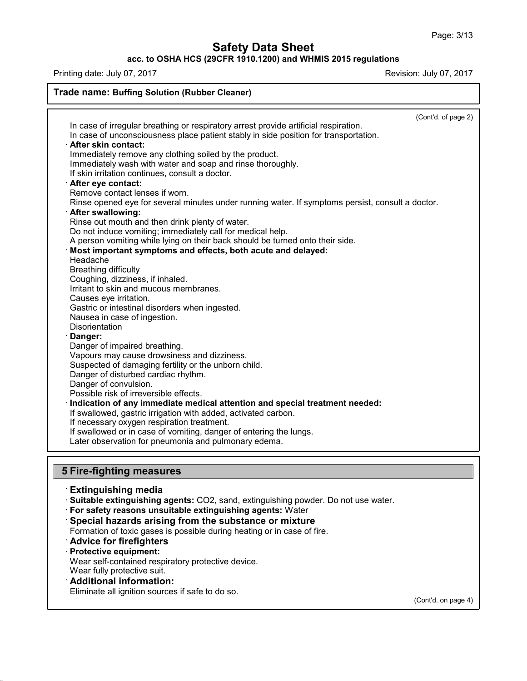# **acc. to OSHA HCS (29CFR 1910.1200) and WHMIS 2015 regulations**

Printing date: July 07, 2017 2008 2017

| <b>Trade name: Buffing Solution (Rubber Cleaner)</b>                                             |                     |
|--------------------------------------------------------------------------------------------------|---------------------|
|                                                                                                  | (Cont'd. of page 2) |
| In case of irregular breathing or respiratory arrest provide artificial respiration.             |                     |
| In case of unconsciousness place patient stably in side position for transportation.             |                     |
| · After skin contact:                                                                            |                     |
| Immediately remove any clothing soiled by the product.                                           |                     |
| Immediately wash with water and soap and rinse thoroughly.                                       |                     |
| If skin irritation continues, consult a doctor.                                                  |                     |
| After eye contact:                                                                               |                     |
| Remove contact lenses if worn.                                                                   |                     |
| Rinse opened eye for several minutes under running water. If symptoms persist, consult a doctor. |                     |
| <b>After swallowing:</b>                                                                         |                     |
| Rinse out mouth and then drink plenty of water.                                                  |                     |
| Do not induce vomiting; immediately call for medical help.                                       |                     |
| A person vomiting while lying on their back should be turned onto their side.                    |                     |
| Most important symptoms and effects, both acute and delayed:                                     |                     |
| Headache                                                                                         |                     |
| <b>Breathing difficulty</b>                                                                      |                     |
| Coughing, dizziness, if inhaled.                                                                 |                     |
| Irritant to skin and mucous membranes.                                                           |                     |
| Causes eye irritation.                                                                           |                     |
| Gastric or intestinal disorders when ingested.                                                   |                     |
| Nausea in case of ingestion.                                                                     |                     |
| Disorientation                                                                                   |                     |
| Danger:                                                                                          |                     |
| Danger of impaired breathing.                                                                    |                     |
| Vapours may cause drowsiness and dizziness.                                                      |                     |
| Suspected of damaging fertility or the unborn child.                                             |                     |
| Danger of disturbed cardiac rhythm.                                                              |                     |
| Danger of convulsion.                                                                            |                     |
| Possible risk of irreversible effects.                                                           |                     |
| Indication of any immediate medical attention and special treatment needed:                      |                     |
| If swallowed, gastric irrigation with added, activated carbon.                                   |                     |
| If necessary oxygen respiration treatment.                                                       |                     |
| If swallowed or in case of vomiting, danger of entering the lungs.                               |                     |
| Later observation for pneumonia and pulmonary edema.                                             |                     |

#### · **Extinguishing media**

· **Suitable extinguishing agents:** CO2, sand, extinguishing powder. Do not use water.

- · **For safety reasons unsuitable extinguishing agents:** Water
- · **Special hazards arising from the substance or mixture**
- Formation of toxic gases is possible during heating or in case of fire.
- · **Advice for firefighters**
- · **Protective equipment:**

45.1.4.1

Wear self-contained respiratory protective device.

Wear fully protective suit.

### · **Additional information:**

Eliminate all ignition sources if safe to do so.

(Cont'd. on page 4)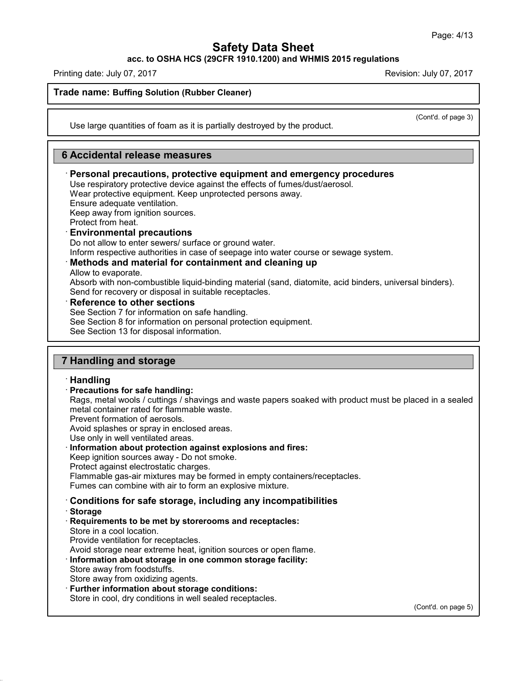**acc. to OSHA HCS (29CFR 1910.1200) and WHMIS 2015 regulations**

Printing date: July 07,2017 Revision: July 07,2017

### **Trade name: Buffing Solution (Rubber Cleaner)**

(Cont'd. of page 3)

Use large quantities of foam as it is partially destroyed by the product.

### **6 Accidental release measures**

### · **Personal precautions, protective equipment and emergency procedures**

Use respiratory protective device against the effects of fumes/dust/aerosol.

Wear protective equipment. Keep unprotected persons away.

Ensure adequate ventilation.

Keep away from ignition sources.

Protect from heat.

### · **Environmental precautions**

Do not allow to enter sewers/ surface or ground water.

Inform respective authorities in case of seepage into water course or sewage system.

### · **Methods and material for containment and cleaning up**

Allow to evaporate.

Absorb with non-combustible liquid-binding material (sand, diatomite, acid binders, universal binders). Send for recovery or disposal in suitable receptacles.

· **Reference to other sections**

See Section 7 for information on safe handling.

See Section 8 for information on personal protection equipment.

See Section 13 for disposal information.

### **7 Handling and storage**

### · **Handling**

#### · **Precautions for safe handling:**

Rags, metal wools / cuttings / shavings and waste papers soaked with product must be placed in a sealed metal container rated for flammable waste.

Prevent formation of aerosols.

Avoid splashes or spray in enclosed areas.

Use only in well ventilated areas.

#### · **Information about protection against explosions and fires:**

Keep ignition sources away - Do not smoke.

Protect against electrostatic charges.

Flammable gas-air mixtures may be formed in empty containers/receptacles.

Fumes can combine with air to form an explosive mixture.

- · **Conditions for safe storage, including any incompatibilities**
- · **Storage**

45.1.4.1

· **Requirements to be met by storerooms and receptacles:**

Store in a cool location.

Provide ventilation for receptacles.

Avoid storage near extreme heat, ignition sources or open flame.

#### · **Information about storage in one common storage facility:** Store away from foodstuffs.

Store away from oxidizing agents.

· **Further information about storage conditions:**

Store in cool, dry conditions in well sealed receptacles.

(Cont'd. on page 5)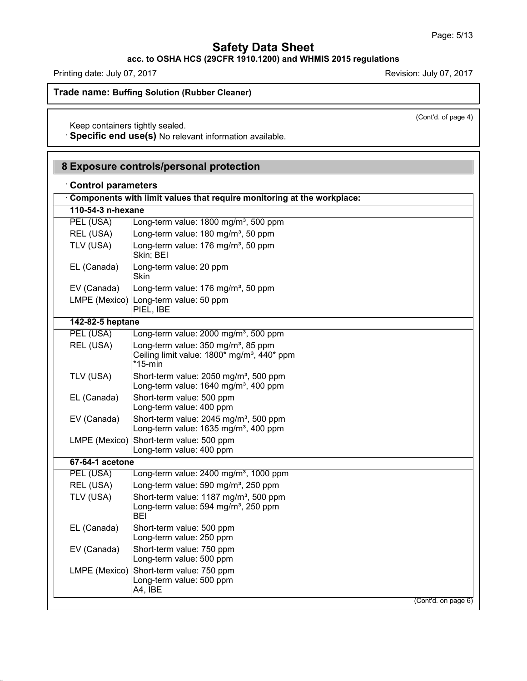**acc. to OSHA HCS (29CFR 1910.1200) and WHMIS 2015 regulations**

Printing date: July 07, 2017 2017 2018 2019 2017

45.1.4.1

(Cont'd. of page 4)

**Trade name: Buffing Solution (Rubber Cleaner)**

Keep containers tightly sealed.

· **Specific end use(s)** No relevant information available.

| <b>Control parameters</b> | 8 Exposure controls/personal protection                                                                                  |  |
|---------------------------|--------------------------------------------------------------------------------------------------------------------------|--|
|                           | Components with limit values that require monitoring at the workplace:                                                   |  |
| 110-54-3 n-hexane         |                                                                                                                          |  |
| PEL (USA)                 | Long-term value: 1800 mg/m <sup>3</sup> , 500 ppm                                                                        |  |
| REL (USA)                 | Long-term value: 180 mg/m <sup>3</sup> , 50 ppm                                                                          |  |
| TLV (USA)                 | Long-term value: 176 mg/m <sup>3</sup> , 50 ppm<br>Skin; BEI                                                             |  |
| EL (Canada)               | Long-term value: 20 ppm<br>Skin                                                                                          |  |
| EV (Canada)               | Long-term value: 176 mg/m <sup>3</sup> , 50 ppm                                                                          |  |
|                           | LMPE (Mexico) Long-term value: 50 ppm<br>PIEL, IBE                                                                       |  |
| 142-82-5 heptane          |                                                                                                                          |  |
| PEL (USA)                 | Long-term value: 2000 mg/m <sup>3</sup> , 500 ppm                                                                        |  |
| REL (USA)                 | Long-term value: 350 mg/m <sup>3</sup> , 85 ppm<br>Ceiling limit value: 1800* mg/m <sup>3</sup> , 440* ppm<br>$*$ 15-min |  |
| TLV (USA)                 | Short-term value: 2050 mg/m <sup>3</sup> , 500 ppm<br>Long-term value: 1640 mg/m <sup>3</sup> , 400 ppm                  |  |
| EL (Canada)               | Short-term value: 500 ppm<br>Long-term value: 400 ppm                                                                    |  |
| EV (Canada)               | Short-term value: 2045 mg/m <sup>3</sup> , 500 ppm<br>Long-term value: 1635 mg/m <sup>3</sup> , 400 ppm                  |  |
|                           | LMPE (Mexico) Short-term value: 500 ppm<br>Long-term value: 400 ppm                                                      |  |
| 67-64-1 acetone           |                                                                                                                          |  |
| PEL (USA)                 | Long-term value: 2400 mg/m <sup>3</sup> , 1000 ppm                                                                       |  |
| REL (USA)                 | Long-term value: 590 mg/m <sup>3</sup> , 250 ppm                                                                         |  |
| TLV (USA)                 | Short-term value: 1187 mg/m <sup>3</sup> , 500 ppm<br>Long-term value: 594 mg/m <sup>3</sup> , 250 ppm<br><b>BEI</b>     |  |
| EL (Canada)               | Short-term value: 500 ppm<br>Long-term value: 250 ppm                                                                    |  |
| EV (Canada)               | Short-term value: 750 ppm<br>Long-term value: 500 ppm                                                                    |  |
|                           | LMPE (Mexico) Short-term value: 750 ppm<br>Long-term value: 500 ppm<br>A4, IBE                                           |  |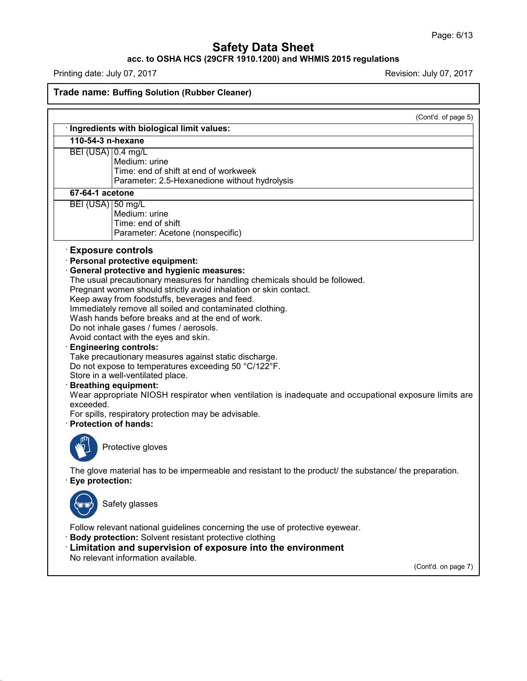### **acc. to OSHA HCS (29CFR 1910.1200) and WHMIS 2015 regulations**

Printing date: July 07, 2017 **Printing date: July 07, 2017** 

45.1.4.1

# **Trade name: Buffing Solution (Rubber Cleaner)**

|                    |                                                                                                                                                                                                                                                                                                                                                                                                                                                                                                                                                                                                                                                                                                                                                                                                                                                                                                                  | (Cont'd. of page 5) |
|--------------------|------------------------------------------------------------------------------------------------------------------------------------------------------------------------------------------------------------------------------------------------------------------------------------------------------------------------------------------------------------------------------------------------------------------------------------------------------------------------------------------------------------------------------------------------------------------------------------------------------------------------------------------------------------------------------------------------------------------------------------------------------------------------------------------------------------------------------------------------------------------------------------------------------------------|---------------------|
| 110-54-3 n-hexane  | · Ingredients with biological limit values:                                                                                                                                                                                                                                                                                                                                                                                                                                                                                                                                                                                                                                                                                                                                                                                                                                                                      |                     |
| BEI (USA) 0.4 mg/L | Medium: urine<br>Time: end of shift at end of workweek<br>Parameter: 2.5-Hexanedione without hydrolysis                                                                                                                                                                                                                                                                                                                                                                                                                                                                                                                                                                                                                                                                                                                                                                                                          |                     |
| 67-64-1 acetone    |                                                                                                                                                                                                                                                                                                                                                                                                                                                                                                                                                                                                                                                                                                                                                                                                                                                                                                                  |                     |
| BEI (USA) 50 mg/L  | Medium: urine<br>Time: end of shift<br>Parameter: Acetone (nonspecific)                                                                                                                                                                                                                                                                                                                                                                                                                                                                                                                                                                                                                                                                                                                                                                                                                                          |                     |
|                    | <b>Exposure controls</b>                                                                                                                                                                                                                                                                                                                                                                                                                                                                                                                                                                                                                                                                                                                                                                                                                                                                                         |                     |
| exceeded.          | Personal protective equipment:<br><b>General protective and hygienic measures:</b><br>The usual precautionary measures for handling chemicals should be followed.<br>Pregnant women should strictly avoid inhalation or skin contact.<br>Keep away from foodstuffs, beverages and feed.<br>Immediately remove all soiled and contaminated clothing.<br>Wash hands before breaks and at the end of work.<br>Do not inhale gases / fumes / aerosols.<br>Avoid contact with the eyes and skin.<br><b>Engineering controls:</b><br>Take precautionary measures against static discharge.<br>Do not expose to temperatures exceeding 50 °C/122°F.<br>Store in a well-ventilated place.<br><b>Breathing equipment:</b><br>Wear appropriate NIOSH respirator when ventilation is inadequate and occupational exposure limits are<br>For spills, respiratory protection may be advisable.<br><b>Protection of hands:</b> |                     |
|                    | Protective gloves                                                                                                                                                                                                                                                                                                                                                                                                                                                                                                                                                                                                                                                                                                                                                                                                                                                                                                |                     |
| Eye protection:    | The glove material has to be impermeable and resistant to the product/ the substance/ the preparation.                                                                                                                                                                                                                                                                                                                                                                                                                                                                                                                                                                                                                                                                                                                                                                                                           |                     |
| ('Ú'O              | Safety glasses                                                                                                                                                                                                                                                                                                                                                                                                                                                                                                                                                                                                                                                                                                                                                                                                                                                                                                   |                     |
|                    | Follow relevant national guidelines concerning the use of protective eyewear.<br>Body protection: Solvent resistant protective clothing<br>Limitation and supervision of exposure into the environment<br>No relevant information available.                                                                                                                                                                                                                                                                                                                                                                                                                                                                                                                                                                                                                                                                     | (Cont'd. on page 7) |
|                    |                                                                                                                                                                                                                                                                                                                                                                                                                                                                                                                                                                                                                                                                                                                                                                                                                                                                                                                  |                     |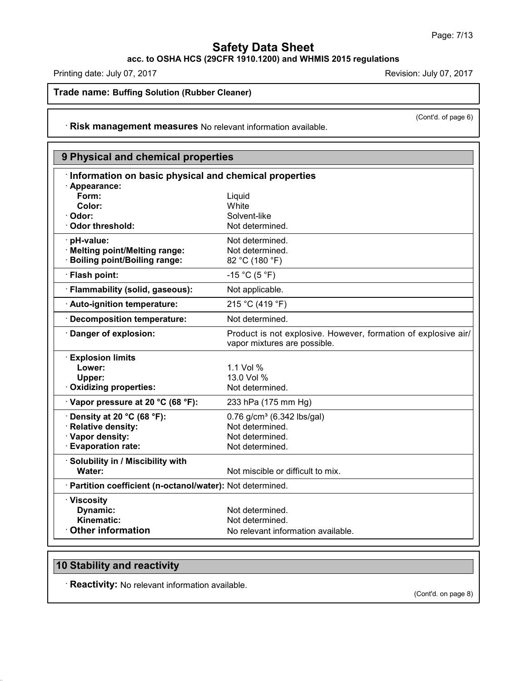**acc. to OSHA HCS (29CFR 1910.1200) and WHMIS 2015 regulations**

Printing date: July 07, 2017 **Printing date: July 07, 2017** 

(Cont'd. of page 6)

**Trade name: Buffing Solution (Rubber Cleaner)**

· **Risk management measures** No relevant information available.

| 9 Physical and chemical properties                         |                                                                                                |
|------------------------------------------------------------|------------------------------------------------------------------------------------------------|
| Information on basic physical and chemical properties      |                                                                                                |
| · Appearance:                                              |                                                                                                |
| Form:                                                      | Liquid                                                                                         |
| Color:                                                     | White                                                                                          |
| Odor:                                                      | Solvent-like                                                                                   |
| Odor threshold:                                            | Not determined.                                                                                |
| · pH-value:                                                | Not determined.                                                                                |
| · Melting point/Melting range:                             | Not determined.                                                                                |
| <b>Boiling point/Boiling range:</b>                        | 82 °C (180 °F)                                                                                 |
| · Flash point:                                             | $-15 °C (5 °F)$                                                                                |
| · Flammability (solid, gaseous):                           | Not applicable.                                                                                |
| · Auto-ignition temperature:                               | 215 °C (419 °F)                                                                                |
| <b>Decomposition temperature:</b>                          | Not determined.                                                                                |
| Danger of explosion:                                       | Product is not explosive. However, formation of explosive air/<br>vapor mixtures are possible. |
| <b>Explosion limits</b>                                    |                                                                                                |
| Lower:                                                     | 1.1 Vol %                                                                                      |
| Upper:                                                     | 13.0 Vol %                                                                                     |
| · Oxidizing properties:                                    | Not determined.                                                                                |
| Vapor pressure at 20 °C (68 °F):                           | 233 hPa (175 mm Hg)                                                                            |
| Density at 20 °C (68 °F):                                  | 0.76 g/cm <sup>3</sup> (6.342 lbs/gal)                                                         |
| · Relative density:                                        | Not determined.                                                                                |
| · Vapor density:                                           | Not determined.                                                                                |
| <b>Evaporation rate:</b>                                   | Not determined.                                                                                |
| · Solubility in / Miscibility with                         |                                                                                                |
| Water:                                                     | Not miscible or difficult to mix.                                                              |
| · Partition coefficient (n-octanol/water): Not determined. |                                                                                                |
| · Viscosity                                                |                                                                                                |
| Dynamic:                                                   | Not determined.                                                                                |
| Kinematic:                                                 | Not determined.                                                                                |
| <b>Other information</b>                                   | No relevant information available.                                                             |

# **10 Stability and reactivity**

45.1.4.1

· **Reactivity:** No relevant information available.

(Cont'd. on page 8)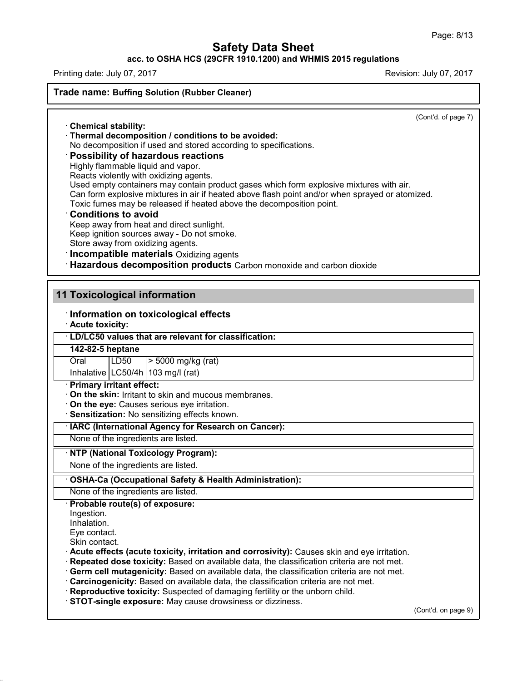### **acc. to OSHA HCS (29CFR 1910.1200) and WHMIS 2015 regulations**

Printing date: July 07,2017 Revision: July 07,2017

**Trade name: Buffing Solution (Rubber Cleaner)**

(Cont'd. of page 7)

· **Chemical stability:** · **Thermal decomposition / conditions to be avoided:**

No decomposition if used and stored according to specifications.

### · **Possibility of hazardous reactions**

Highly flammable liquid and vapor.

Reacts violently with oxidizing agents.

Used empty containers may contain product gases which form explosive mixtures with air.

Can form explosive mixtures in air if heated above flash point and/or when sprayed or atomized.

Toxic fumes may be released if heated above the decomposition point.

### · **Conditions to avoid**

Keep away from heat and direct sunlight. Keep ignition sources away - Do not smoke. Store away from oxidizing agents.

· **Incompatible materials** Oxidizing agents

· **Hazardous decomposition products** Carbon monoxide and carbon dioxide

### **11 Toxicological information**

### · **Information on toxicological effects**

· **Acute toxicity:**

# · **LD/LC50 values that are relevant for classification:**

**142-82-5 heptane**

Oral LD50 > 5000 mg/kg (rat)

Inhalative  $|LC50/4h|$  103 mg/l (rat)

### · **Primary irritant effect:**

· **On the skin:** Irritant to skin and mucous membranes.

· **On the eye:** Causes serious eye irritation.

· **Sensitization:** No sensitizing effects known.

#### · **IARC (International Agency for Research on Cancer):**

None of the ingredients are listed.

### · **NTP (National Toxicology Program):**

None of the ingredients are listed.

### · **OSHA-Ca (Occupational Safety & Health Administration):**

None of the ingredients are listed.

· **Probable route(s) of exposure:**

Ingestion.

Inhalation.

45.1.4.1

Eye contact.

Skin contact.

· **Acute effects (acute toxicity, irritation and corrosivity):** Causes skin and eye irritation.

· **Repeated dose toxicity:** Based on available data, the classification criteria are not met.

· **Germ cell mutagenicity:** Based on available data, the classification criteria are not met.

- · **Carcinogenicity:** Based on available data, the classification criteria are not met.
- · **Reproductive toxicity:** Suspected of damaging fertility or the unborn child.

· **STOT-single exposure:** May cause drowsiness ordizziness.

(Cont'd. on page 9)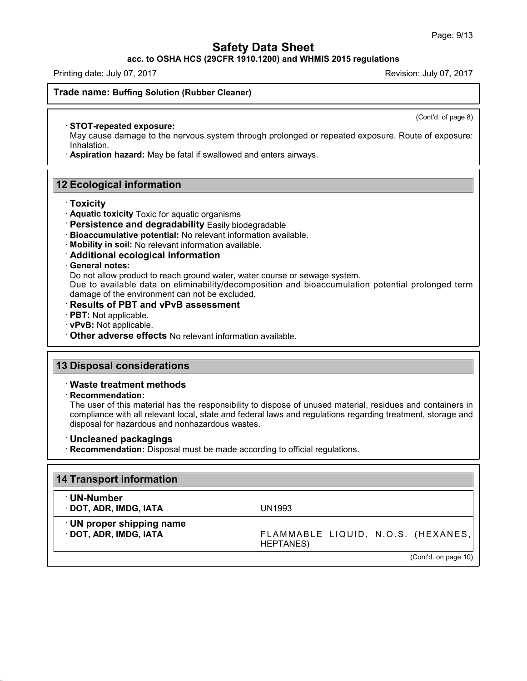**acc. to OSHA HCS (29CFR 1910.1200) and WHMIS 2015 regulations**

Printing date: July 07,2017 Revision: July 07,2017

(Cont'd. of page 8)

**Trade name: Buffing Solution (Rubber Cleaner)**

#### · **STOT-repeated exposure:**

May cause damage to the nervous system through prolonged or repeated exposure. Route of exposure: Inhalation.

· **Aspiration hazard:** May be fatal if swallowed and enters airways.

### **12 Ecological information**

#### · **Toxicity**

- · **Aquatic toxicity** Toxic for aquatic organisms
- · **Persistence and degradability** Easily biodegradable
- · **Bioaccumulative potential:** No relevant information available.
- · **Mobility in soil:** No relevant information available.
- · **Additional ecological information**

#### · **General notes:**

Do not allow product to reach ground water, water course or sewage system.

Due to available data on eliminability/decomposition and bioaccumulation potential prolonged term damage of the environment can not be excluded.

- · **Results of PBT and vPvB assessment**
- · **PBT:** Not applicable.
- · **vPvB:** Not applicable.
- · **Other adverse effects** No relevant information available.

### **13 Disposal considerations**

#### · **Waste treatment methods**

· **Recommendation:**

45.1.4.1

The user of this material has the responsibility to dispose of unused material, residues and containers in compliance with all relevant local, state and federal laws and regulations regarding treatment, storage and disposal for hazardous and nonhazardous wastes.

- · **Uncleaned packagings**
- · **Recommendation:** Disposal must be made according to official regulations.

| 14 Transport information                                 |                                                         |
|----------------------------------------------------------|---------------------------------------------------------|
| <sup>∴</sup> UN-Number<br>· DOT, ADR, IMDG, IATA         | UN1993                                                  |
| <b>UN proper shipping name</b><br>· DOT, ADR, IMDG, IATA | FLAMMABLE LIQUID, N.O.S. (HEXANES,<br><b>HEPTANES</b> ) |
|                                                          | (Cont'd. on page 10)                                    |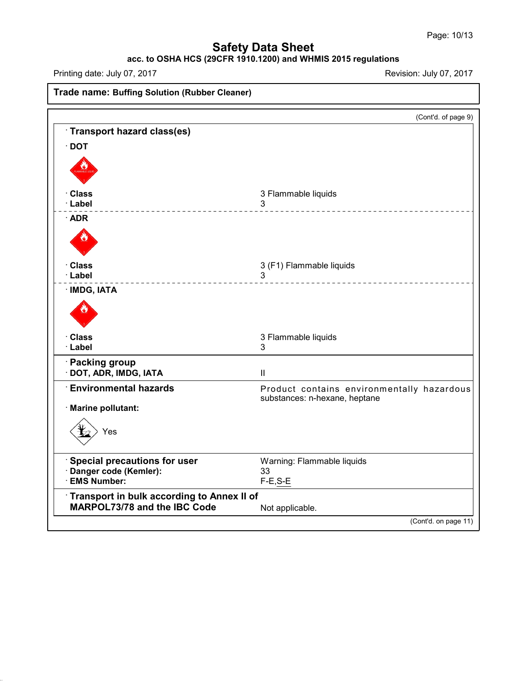# **acc. to OSHA HCS (29CFR 1910.1200) and WHMIS 2015 regulations**

Printing date: July 07,2017 Revision: July 07,2017

45.1.4.1

**Trade name: Buffing Solution (Rubber Cleaner)** (Cont'd. of page 9) · **Transport hazard class(es)** · **DOT** · **Class** 3 Flammable liquids · **Label** 3 · **ADR** · **Class** 3 (F1) Flammable liquids · **Label** 3 · **IMDG, IATA** · **Class** 3 Flammable liquids · **Label** 3 · **Packing group** · **DOT, ADR, IMDG, IATA** II · **Environmental hazards** Product contains environmentally hazardous substances: n-hexane, heptane · **Marine pollutant:** Yes · **Special precautions for user** Warning: Flammable liquids · **Danger code (Kemler):** 33 · **EMS Number:** F-E,S-E · **Transport in bulk according to Annex II of MARPOL73/78** and the IBC Code Not applicable. (Cont'd. on page 11)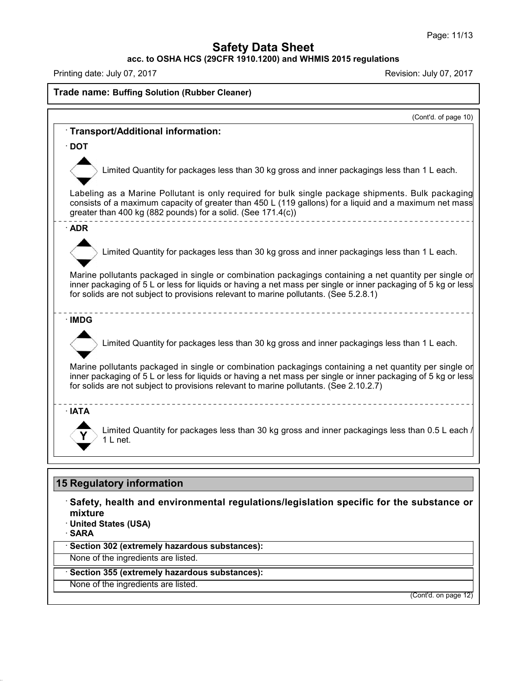**acc. to OSHA HCS (29CFR 1910.1200) and WHMIS 2015 regulations**

Printing date: July 07,2017 Revision: July 07,2017

45.1.4.1

# **Trade name: Buffing Solution (Rubber Cleaner)**

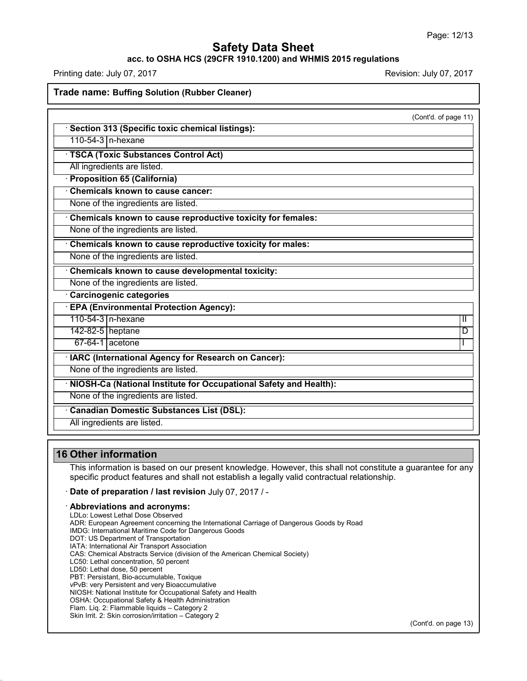### **acc. to OSHA HCS (29CFR 1910.1200) and WHMIS 2015 regulations**

Printing date: July 07,2017 Revision: July 07,2017

**Trade name: Buffing Solution (Rubber Cleaner)**

|                                                                   | (Cont'd. of page 11) |
|-------------------------------------------------------------------|----------------------|
| Section 313 (Specific toxic chemical listings):                   |                      |
| 110-54-3 n-hexane                                                 |                      |
| <b>TSCA (Toxic Substances Control Act)</b>                        |                      |
| All ingredients are listed.                                       |                      |
| · Proposition 65 (California)                                     |                      |
| Chemicals known to cause cancer:                                  |                      |
| None of the ingredients are listed.                               |                      |
| Chemicals known to cause reproductive toxicity for females:       |                      |
| None of the ingredients are listed.                               |                      |
| Chemicals known to cause reproductive toxicity for males:         |                      |
| None of the ingredients are listed.                               |                      |
| Chemicals known to cause developmental toxicity:                  |                      |
| None of the ingredients are listed.                               |                      |
| Carcinogenic categories                                           |                      |
| <b>EPA (Environmental Protection Agency):</b>                     |                      |
| 110-54-3   n-hexane                                               | Ш                    |
| 142-82-5 heptane                                                  | D                    |
| $67-64-1$ acetone                                                 |                      |
| · IARC (International Agency for Research on Cancer):             |                      |
| None of the ingredients are listed.                               |                      |
| NIOSH-Ca (National Institute for Occupational Safety and Health): |                      |
| None of the ingredients are listed.                               |                      |
| Canadian Domestic Substances List (DSL):                          |                      |
| All ingredients are listed.                                       |                      |

### **16 Other information**

45.1.4.1

This information is based on our present knowledge. However, this shall not constitute a guarantee for any specific product features and shall not establish a legally valid contractual relationship.

· **Date of preparation / last revision** July 07,2017 / -

#### · **Abbreviations and acronyms:**

LDLo: Lowest Lethal Dose Observed ADR: European Agreement concerning the International Carriage of Dangerous Goods by Road IMDG: International Maritime Code for Dangerous Goods DOT: US Department of Transportation IATA: International Air Transport Association CAS: Chemical Abstracts Service (division of the American Chemical Society) LC50: Lethal concentration, 50 percent LD50: Lethal dose, 50 percent PBT: Persistant, Bio-accumulable, Toxique vPvB: very Persistent and very Bioaccumulative NIOSH: National Institute for Occupational Safety and Health OSHA: Occupational Safety & Health Administration Flam. Liq. 2: Flammable liquids – Category 2 Skin Irrit. 2: Skin corrosion/irritation – Category 2

(Cont'd. on page 13)